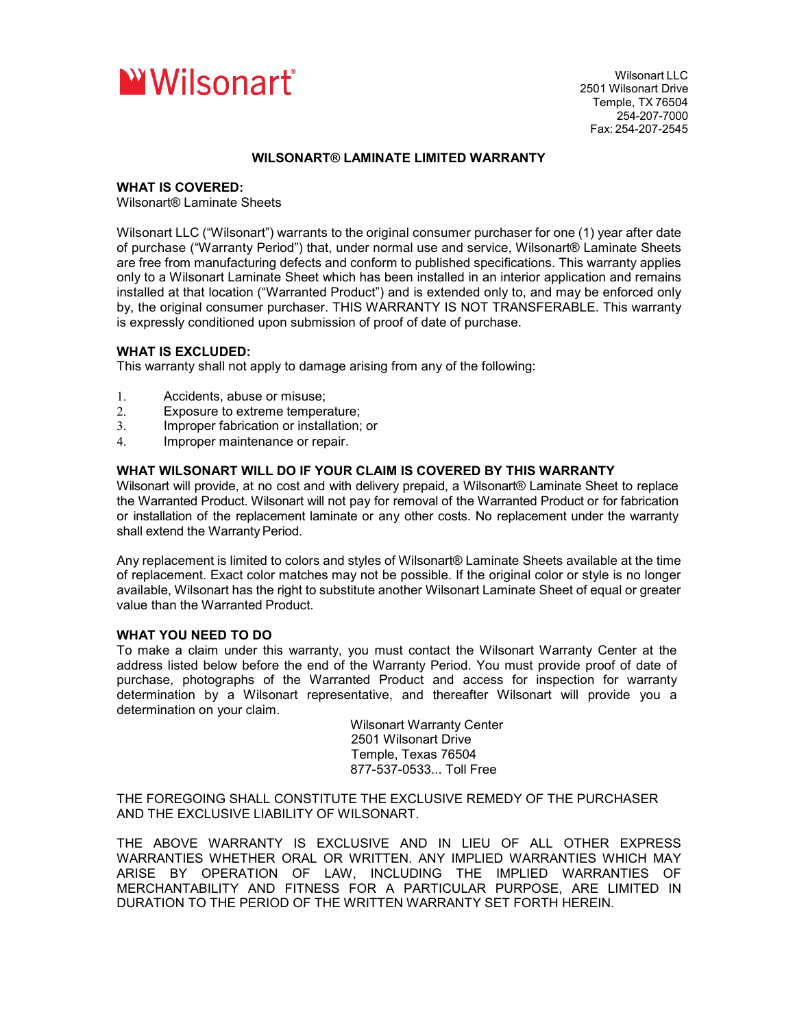

Wilsonart LLC 2501 Wilsonart Drive Temple, TX 76504 254-207-7000 Fax: 254-207-2545

## **WILSONART® LAMINATE LIMITED WARRANTY**

## **WHAT IS COVERED:**

Wilsonart® Laminate Sheets

Wilsonart LLC ("Wilsonart") warrants to the original consumer purchaser for one (1) year after date of purchase ("Warranty Period") that, under normal use and service, Wilsonart® Laminate Sheets are free from manufacturing defects and conform to published specifications. This warranty applies only to a Wilsonart Laminate Sheet which has been installed in an interior application and remains installed at that location ("Warranted Product") and is extended only to, and may be enforced only by, the original consumer purchaser. THIS WARRANTY IS NOT TRANSFERABLE. This warranty is expressly conditioned upon submission of proof of date of purchase.

## **WHAT IS EXCLUDED:**

This warranty shall not apply to damage arising from any of the following:

- 1. Accidents, abuse or misuse;
- 2. Exposure to extreme temperature;
- 3. Improper fabrication or installation; or
- 4. Improper maintenance or repair.

# **WHAT WILSONART WILL DO IF YOUR CLAIM IS COVERED BY THIS WARRANTY**

Wilsonart will provide, at no cost and with delivery prepaid, a Wilsonart® Laminate Sheet to replace the Warranted Product. Wilsonart will not pay for removal of the Warranted Product or for fabrication or installation of the replacement laminate or any other costs. No replacement under the warranty shall extend the Warranty Period.

Any replacement is limited to colors and styles of Wilsonart® Laminate Sheets available at the time of replacement. Exact color matches may not be possible. If the original color or style is no longer available, Wilsonart has the right to substitute another Wilsonart Laminate Sheet of equal or greater value than the Warranted Product.

# **WHAT YOU NEED TO DO**

To make a claim under this warranty, you must contact the Wilsonart Warranty Center at the address listed below before the end of the Warranty Period. You must provide proof of date of purchase, photographs of the Warranted Product and access for inspection for warranty determination by a Wilsonart representative, and thereafter Wilsonart will provide you a determination on your claim.

> Wilsonart Warranty Center 2501 Wilsonart Drive Temple, Texas 76504 877-537-0533... Toll Free

THE FOREGOING SHALL CONSTITUTE THE EXCLUSIVE REMEDY OF THE PURCHASER AND THE EXCLUSIVE LIABILITY OF WILSONART.

THE ABOVE WARRANTY IS EXCLUSIVE AND IN LIEU OF ALL OTHER EXPRESS WARRANTIES WHETHER ORAL OR WRITTEN. ANY IMPLIED WARRANTIES WHICH MAY ARISE BY OPERATION OF LAW, INCLUDING THE IMPLIED WARRANTIES OF MERCHANTABILITY AND FITNESS FOR A PARTICULAR PURPOSE, ARE LIMITED IN DURATION TO THE PERIOD OF THE WRITTEN WARRANTY SET FORTH HEREIN.